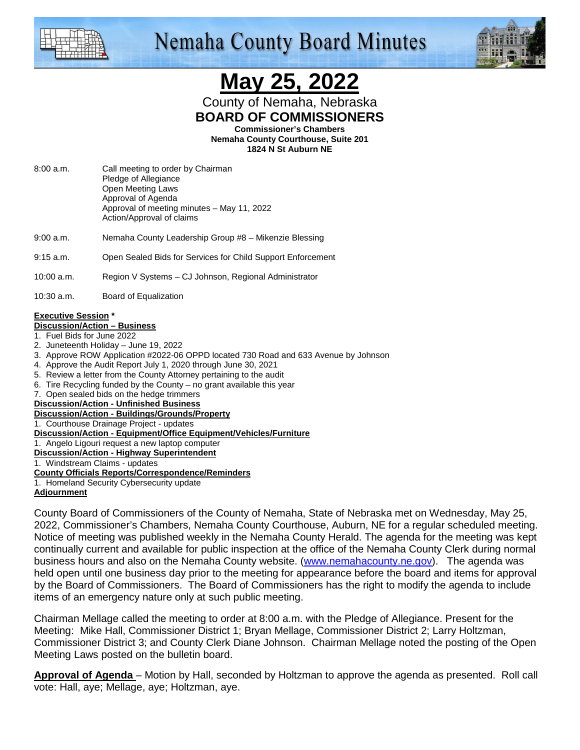

## **Nemaha County Board Minutes**



# **May 25, 2022**

County of Nemaha, Nebraska **BOARD OF COMMISSIONERS** 

**Commissioner's Chambers** 

**Nemaha County Courthouse, Suite 201 1824 N St Auburn NE** 

- 8:00 a.m. Call meeting to order by Chairman Pledge of Allegiance Open Meeting Laws Approval of Agenda Approval of meeting minutes – May 11, 2022 Action/Approval of claims
- 9:00 a.m. Nemaha County Leadership Group #8 Mikenzie Blessing
- 9:15 a.m. Open Sealed Bids for Services for Child Support Enforcement

10:00 a.m. Region V Systems – CJ Johnson, Regional Administrator

10:30 a.m. Board of Equalization

#### **Executive Session \***

#### **Discussion/Action – Business**

- 1. Fuel Bids for June 2022
- 2. Juneteenth Holiday June 19, 2022
- 3. Approve ROW Application #2022-06 OPPD located 730 Road and 633 Avenue by Johnson
- 4. Approve the Audit Report July 1, 2020 through June 30, 2021
- 5. Review a letter from the County Attorney pertaining to the audit
- 6. Tire Recycling funded by the County no grant available this year
- 7. Open sealed bids on the hedge trimmers
- **Discussion/Action Unfinished Business**

### **Discussion/Action - Buildings/Grounds/Property**

- 1. Courthouse Drainage Project updates
- **Discussion/Action Equipment/Office Equipment/Vehicles/Furniture**
- 1. Angelo Ligouri request a new laptop computer
- **Discussion/Action Highway Superintendent**

#### 1. Windstream Claims - updates

#### **County Officials Reports/Correspondence/Reminders**

1. Homeland Security Cybersecurity update

**Adjournment**

County Board of Commissioners of the County of Nemaha, State of Nebraska met on Wednesday, May 25, 2022, Commissioner's Chambers, Nemaha County Courthouse, Auburn, NE for a regular scheduled meeting. Notice of meeting was published weekly in the Nemaha County Herald. The agenda for the meeting was kept continually current and available for public inspection at the office of the Nemaha County Clerk during normal business hours and also on the Nemaha County website. (www.nemahacounty.ne.gov). The agenda was held open until one business day prior to the meeting for appearance before the board and items for approval by the Board of Commissioners. The Board of Commissioners has the right to modify the agenda to include items of an emergency nature only at such public meeting.

Chairman Mellage called the meeting to order at 8:00 a.m. with the Pledge of Allegiance. Present for the Meeting: Mike Hall, Commissioner District 1; Bryan Mellage, Commissioner District 2; Larry Holtzman, Commissioner District 3; and County Clerk Diane Johnson. Chairman Mellage noted the posting of the Open Meeting Laws posted on the bulletin board.

**Approval of Agenda** – Motion by Hall, seconded by Holtzman to approve the agenda as presented. Roll call vote: Hall, aye; Mellage, aye; Holtzman, aye.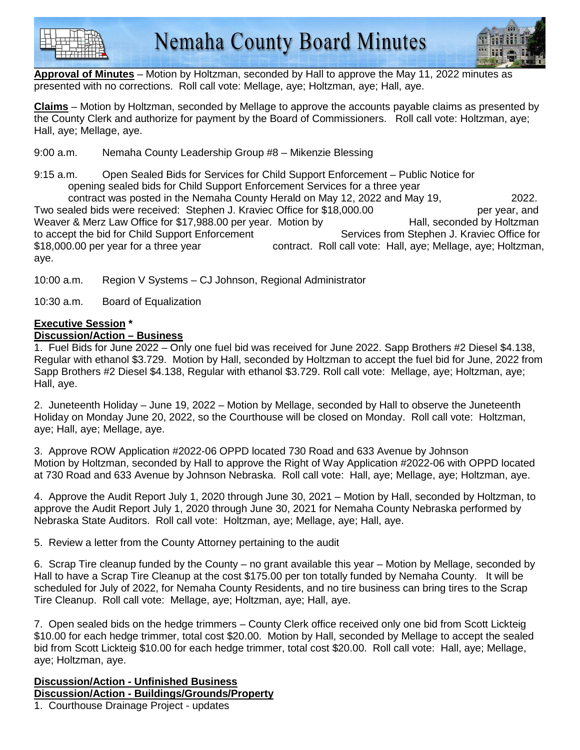



**Approval of Minutes** – Motion by Holtzman, seconded by Hall to approve the May 11, 2022 minutes as presented with no corrections. Roll call vote: Mellage, aye; Holtzman, aye; Hall, aye.

**Claims** – Motion by Holtzman, seconded by Mellage to approve the accounts payable claims as presented by the County Clerk and authorize for payment by the Board of Commissioners. Roll call vote: Holtzman, aye; Hall, aye; Mellage, aye.

9:00 a.m. Nemaha County Leadership Group #8 – Mikenzie Blessing

9:15 a.m. Open Sealed Bids for Services for Child Support Enforcement – Public Notice for opening sealed bids for Child Support Enforcement Services for a three year

 contract was posted in the Nemaha County Herald on May 12, 2022 and May 19, 2022. Two sealed bids were received: Stephen J. Kraviec Office for \$18,000.00 **permits** per year, and Weaver & Merz Law Office for \$17,988.00 per year. Motion by The Hall, seconded by Holtzman to accept the bid for Child Support Enforcement Services from Stephen J. Kraviec Office for \$18,000.00 per year for a three year contract. Roll call vote: Hall, aye; Mellage, aye; Holtzman, aye.

10:00 a.m. Region V Systems – CJ Johnson, Regional Administrator

10:30 a.m. Board of Equalization

#### **Executive Session \* Discussion/Action – Business**

1. Fuel Bids for June 2022 – Only one fuel bid was received for June 2022. Sapp Brothers #2 Diesel \$4.138, Regular with ethanol \$3.729. Motion by Hall, seconded by Holtzman to accept the fuel bid for June, 2022 from Sapp Brothers #2 Diesel \$4.138, Regular with ethanol \$3.729. Roll call vote: Mellage, aye; Holtzman, aye; Hall, aye.

2. Juneteenth Holiday – June 19, 2022 – Motion by Mellage, seconded by Hall to observe the Juneteenth Holiday on Monday June 20, 2022, so the Courthouse will be closed on Monday. Roll call vote: Holtzman, aye; Hall, aye; Mellage, aye.

3. Approve ROW Application #2022-06 OPPD located 730 Road and 633 Avenue by Johnson Motion by Holtzman, seconded by Hall to approve the Right of Way Application #2022-06 with OPPD located at 730 Road and 633 Avenue by Johnson Nebraska. Roll call vote: Hall, aye; Mellage, aye; Holtzman, aye.

4. Approve the Audit Report July 1, 2020 through June 30, 2021 – Motion by Hall, seconded by Holtzman, to approve the Audit Report July 1, 2020 through June 30, 2021 for Nemaha County Nebraska performed by Nebraska State Auditors. Roll call vote: Holtzman, aye; Mellage, aye; Hall, aye.

5. Review a letter from the County Attorney pertaining to the audit

6. Scrap Tire cleanup funded by the County – no grant available this year – Motion by Mellage, seconded by Hall to have a Scrap Tire Cleanup at the cost \$175.00 per ton totally funded by Nemaha County. It will be scheduled for July of 2022, for Nemaha County Residents, and no tire business can bring tires to the Scrap Tire Cleanup. Roll call vote: Mellage, aye; Holtzman, aye; Hall, aye.

7. Open sealed bids on the hedge trimmers – County Clerk office received only one bid from Scott Lickteig \$10.00 for each hedge trimmer, total cost \$20.00. Motion by Hall, seconded by Mellage to accept the sealed bid from Scott Lickteig \$10.00 for each hedge trimmer, total cost \$20.00. Roll call vote: Hall, aye; Mellage, aye; Holtzman, aye.

**Discussion/Action - Unfinished Business Discussion/Action - Buildings/Grounds/Property**

1. Courthouse Drainage Project - updates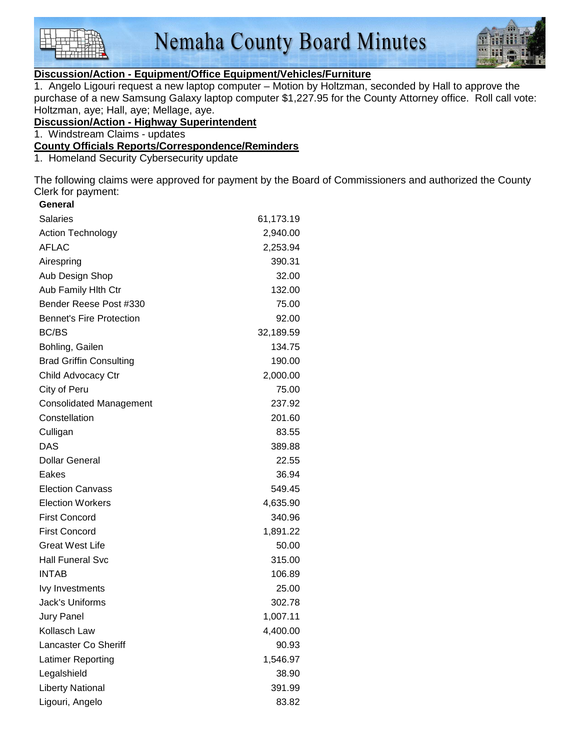



#### **Discussion/Action - Equipment/Office Equipment/Vehicles/Furniture**

1. Angelo Ligouri request a new laptop computer – Motion by Holtzman, seconded by Hall to approve the purchase of a new Samsung Galaxy laptop computer \$1,227.95 for the County Attorney office. Roll call vote: Holtzman, aye; Hall, aye; Mellage, aye.

#### **Discussion/Action - Highway Superintendent**

1. Windstream Claims - updates

#### **County Officials Reports/Correspondence/Reminders**

1. Homeland Security Cybersecurity update

The following claims were approved for payment by the Board of Commissioners and authorized the County Clerk for payment: **General** 

| General                         |           |
|---------------------------------|-----------|
| <b>Salaries</b>                 | 61,173.19 |
| Action Technology               | 2,940.00  |
| <b>AFLAC</b>                    | 2,253.94  |
| Airespring                      | 390.31    |
| Aub Design Shop                 | 32.00     |
| Aub Family Hith Ctr             | 132.00    |
| Bender Reese Post #330          | 75.00     |
| <b>Bennet's Fire Protection</b> | 92.00     |
| <b>BC/BS</b>                    | 32,189.59 |
| Bohling, Gailen                 | 134.75    |
| <b>Brad Griffin Consulting</b>  | 190.00    |
| Child Advocacy Ctr              | 2,000.00  |
| City of Peru                    | 75.00     |
| <b>Consolidated Management</b>  | 237.92    |
| Constellation                   | 201.60    |
| Culligan                        | 83.55     |
| <b>DAS</b>                      | 389.88    |
| <b>Dollar General</b>           | 22.55     |
| Eakes                           | 36.94     |
| <b>Election Canvass</b>         | 549.45    |
| <b>Election Workers</b>         | 4,635.90  |
| <b>First Concord</b>            | 340.96    |
| <b>First Concord</b>            | 1,891.22  |
| <b>Great West Life</b>          | 50.00     |
| <b>Hall Funeral Svc</b>         | 315.00    |
| <b>INTAB</b>                    | 106.89    |
| <b>lvy Investments</b>          | 25.00     |
| Jack's Uniforms                 | 302.78    |
| <b>Jury Panel</b>               | 1,007.11  |
| Kollasch Law                    | 4,400.00  |
| <b>Lancaster Co Sheriff</b>     | 90.93     |
| Latimer Reporting               | 1,546.97  |
| Legalshield                     | 38.90     |
| <b>Liberty National</b>         | 391.99    |
| Ligouri, Angelo                 | 83.82     |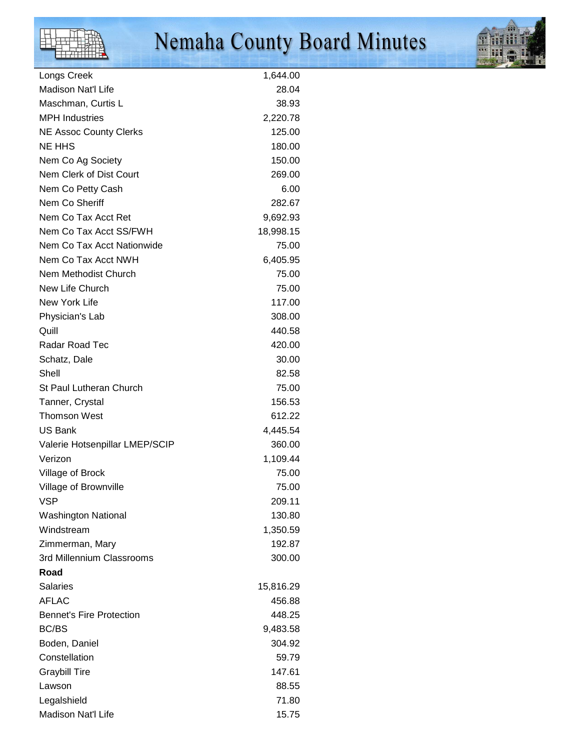# Nemaha County Board Minutes



| Longs Creek                     | 1,644.00  |
|---------------------------------|-----------|
| <b>Madison Nat'l Life</b>       | 28.04     |
| Maschman, Curtis L              | 38.93     |
| <b>MPH Industries</b>           | 2,220.78  |
| <b>NE Assoc County Clerks</b>   | 125.00    |
| <b>NE HHS</b>                   | 180.00    |
| Nem Co Ag Society               | 150.00    |
| Nem Clerk of Dist Court         | 269.00    |
| Nem Co Petty Cash               | 6.00      |
| Nem Co Sheriff                  | 282.67    |
| Nem Co Tax Acct Ret             | 9,692.93  |
| Nem Co Tax Acct SS/FWH          | 18,998.15 |
| Nem Co Tax Acct Nationwide      | 75.00     |
| Nem Co Tax Acct NWH             | 6,405.95  |
| Nem Methodist Church            | 75.00     |
| New Life Church                 | 75.00     |
| New York Life                   | 117.00    |
| Physician's Lab                 | 308.00    |
| Quill                           | 440.58    |
| Radar Road Tec                  | 420.00    |
| Schatz, Dale                    | 30.00     |
| Shell                           | 82.58     |
| <b>St Paul Lutheran Church</b>  | 75.00     |
| Tanner, Crystal                 | 156.53    |
| <b>Thomson West</b>             | 612.22    |
| <b>US Bank</b>                  | 4,445.54  |
| Valerie Hotsenpillar LMEP/SCIP  | 360.00    |
| Verizon                         | 1,109.44  |
| Village of Brock                | 75.00     |
| Village of Brownville           | 75.00     |
| <b>VSP</b>                      | 209.11    |
| <b>Washington National</b>      | 130.80    |
| Windstream                      | 1,350.59  |
| Zimmerman, Mary                 | 192.87    |
| 3rd Millennium Classrooms       | 300.00    |
| Road                            |           |
| <b>Salaries</b>                 | 15,816.29 |
| <b>AFLAC</b>                    | 456.88    |
| <b>Bennet's Fire Protection</b> | 448.25    |
| <b>BC/BS</b>                    | 9,483.58  |
| Boden, Daniel                   | 304.92    |
| Constellation                   | 59.79     |
| <b>Graybill Tire</b>            | 147.61    |
| Lawson                          | 88.55     |
| Legalshield                     | 71.80     |
| Madison Nat'l Life              | 15.75     |